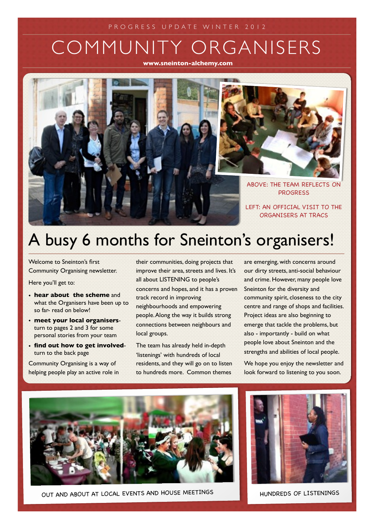# COMMUNITY ORGANISERS

**www.sneinton-alchemy.com**



# A busy 6 months for Sneinton's organisers!

Welcome to Sneinton's first Community Organising newsletter.

Here you'll get to:

- **hear about the scheme** and what the Organisers have been up to so far- read on below!
- **meet your local organisers**turn to pages 2 and 3 for some personal stories from your team
- **find out how to get involved**turn to the back page

Community Organising is a way of helping people play an active role in their communities, doing projects that improve their area, streets and lives. It's all about LISTENING to people's concerns and hopes, and it has a proven track record in improving neighbourhoods and empowering people. Along the way it builds strong connections between neighbours and local groups.

The team has already held in-depth 'listenings' with hundreds of local residents, and they will go on to listen to hundreds more. Common themes

are emerging, with concerns around our dirty streets, anti-social behaviour and crime. However, many people love Sneinton for the diversity and community spirit, closeness to the city centre and range of shops and facilities. Project ideas are also beginning to emerge that tackle the problems, but also - importantly - build on what people love about Sneinton and the strengths and abilities of local people.

We hope you enjoy the newsletter and look forward to listening to you soon.



OUT AND ABOUT AT LOCAL EVENTS AND HOUSE MEETINGS HUNDREDS OF LISTENINGS

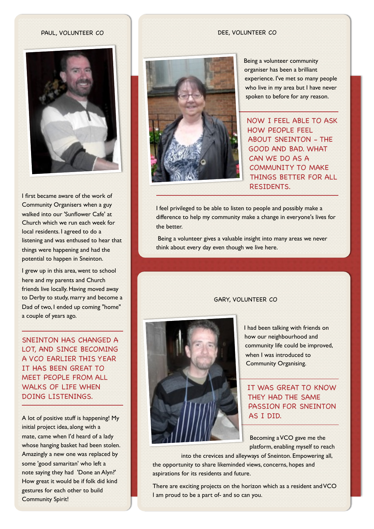#### PAUL, VOLUNTEER CO



I first became aware of the work of Community Organisers when a guy walked into our 'Sunflower Cafe' at Church which we run each week for local residents. I agreed to do a listening and was enthused to hear that things were happening and had the potential to happen in Sneinton.

I grew up in this area, went to school here and my parents and Church friends live locally. Having moved away to Derby to study, marry and become a Dad of two, I ended up coming "home" a couple of years ago.

SNEINTON HAS CHANGED A LOT, AND SINCE BECOMING A VCO EARLIER THIS YEAR IT HAS BEEN GREAT TO MEET PEOPLE FROM ALL WALKS OF LIFE WHEN DOING LISTENINGS.

A lot of positive stuff is happening! My initial project idea, along with a mate, came when I'd heard of a lady whose hanging basket had been stolen. Amazingly a new one was replaced by some 'good samaritan' who left a note saying they had 'Done an Alyn?' How great it would be if folk did kind gestures for each other to build Community Spirit!

#### DEE, VOLUNTEER CO



Being a volunteer community organiser has been a brilliant experience. I've met so many people who live in my area but I have never spoken to before for any reason.

NOW I FEEL ABLE TO ASK HOW PEOPLE FEEL ABOUT SNEINTON - THE GOOD AND BAD. WHAT CAN WE DO AS A COMMUNITY TO MAKE THINGS BETTER FOR ALL RESIDENTS.

I feel privileged to be able to listen to people and possibly make a difference to help my community make a change in everyone's lives for the better.

Being a volunteer gives a valuable insight into many areas we never think about every day even though we live here.

### GARY, VOLUNTEER CO



I had been talking with friends on how our neighbourhood and community life could be improved, when I was introduced to Community Organising.

IT WAS GREAT TO KNOW THEY HAD THE SAME PASSION FOR SNEINTON AS I DID.

Becoming a VCO gave me the platform, enabling myself to reach

into the crevices and alleyways of Sneinton. Empowering all, the opportunity to share likeminded views, concerns, hopes and aspirations for its residents and future.

There are exciting projects on the horizon which as a resident and VCO I am proud to be a part of- and so can you.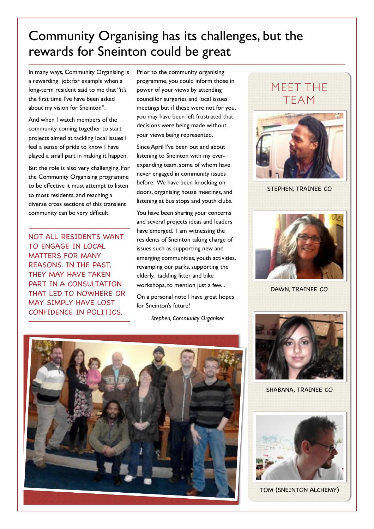## Community Organising has its challenges, but the rewards for Sneinton could be great

In many ways, Community Organising is a rewarding job: for example when a long-term resident said to me that "it's the first time I've have been asked about my vision for Sneinton".

And when I watch members of the community coming together to start projects aimed at tackling local issues I feel a sense of pride to know I have played a small part in making it happen.

But the role is also very challenging. For the Community Organising programme to be effective it must attempt to listen to most residents, and reaching a diverse cross sections of this transient community can be very difficult.

NOT ALL RESIDENTS WANT TO ENGAGE IN LOCAL MATTERS FOR MANY REASONS. IN THE PAST, THEY MAY HAVE TAKEN PART IN A CONSULTATION THAT LED TO NOWHERE OR MAY SIMPLY HAVE LOST CONFIDENCE IN POLITICS.

Prior to the community organising programme, you could inform those in power of your views by attending councillor surgeries and local issues meetings but if these were not for you, you may have been left frustrated that decisions were being made without your views being represented.

Since April I've been out and about listening to Sneinton with my everexpanding team, some of whom have never engaged in community issues before. We have been knocking on doors, organising house meetings, and listening at bus stops and youth clubs.

You have been sharing your concerns and several projects ideas and leaders have emerged. I am witnessing the residents of Sneinton taking charge of issues such as supporting new and emerging communities, youth activities, revamping our parks, supporting the elderly, tackling litter and bike workshops, to mention just a few...

On a personal note I have great hopes for Sneinton's future!

*Stephen, Community Organiser*





STEPHEN, TRAINEE CO



DAWN, TRAINEE CO



SHABANA, TRAINEE CO



TOM (SNEINTON ALCHEMY)